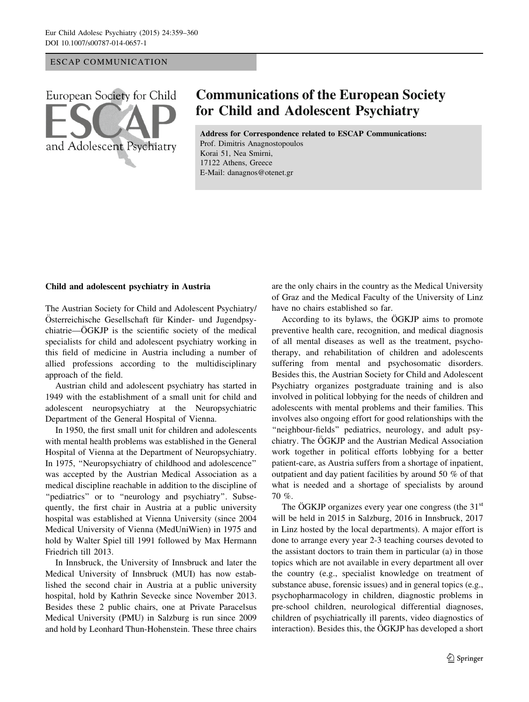## ESCAP COMMUNICATION

European Society for Child and Adolescent Psychiatry

## **Communications of the European Society for Child and Adolescent Psychiatry**

Address for Correspondence related to ESCAP Communications: Prof. Dimitris Anagnostopoulos Korai 51, Nea Smirni, 17122 Athens, Greece E-Mail: danagnos@otenet.gr

## Child and adolescent psychiatry in Austria

The Austrian Society for Child and Adolescent Psychiatry/ Österreichische Gesellschaft für Kinder- und Jugendpsychiatrie—ÖGKJP is the scientific society of the medical specialists for child and adolescent psychiatry working in this field of medicine in Austria including a number of allied professions according to the multidisciplinary approach of the field.

Austrian child and adolescent psychiatry has started in 1949 with the establishment of a small unit for child and adolescent neuropsychiatry at the Neuropsychiatric Department of the General Hospital of Vienna.

In 1950, the first small unit for children and adolescents with mental health problems was established in the General Hospital of Vienna at the Department of Neuropsychiatry. In 1975, ''Neuropsychiatry of childhood and adolescence'' was accepted by the Austrian Medical Association as a medical discipline reachable in addition to the discipline of "pediatrics" or to "neurology and psychiatry". Subsequently, the first chair in Austria at a public university hospital was established at Vienna University (since 2004 Medical University of Vienna (MedUniWien) in 1975 and hold by Walter Spiel till 1991 followed by Max Hermann Friedrich till 2013.

In Innsbruck, the University of Innsbruck and later the Medical University of Innsbruck (MUI) has now established the second chair in Austria at a public university hospital, hold by Kathrin Sevecke since November 2013. Besides these 2 public chairs, one at Private Paracelsus Medical University (PMU) in Salzburg is run since 2009 and hold by Leonhard Thun-Hohenstein. These three chairs are the only chairs in the country as the Medical University of Graz and the Medical Faculty of the University of Linz have no chairs established so far.

According to its bylaws, the ÖGKJP aims to promote preventive health care, recognition, and medical diagnosis of all mental diseases as well as the treatment, psychotherapy, and rehabilitation of children and adolescents suffering from mental and psychosomatic disorders. Besides this, the Austrian Society for Child and Adolescent Psychiatry organizes postgraduate training and is also involved in political lobbying for the needs of children and adolescents with mental problems and their families. This involves also ongoing effort for good relationships with the "neighbour-fields" pediatrics, neurology, and adult psychiatry. The ÖGKJP and the Austrian Medical Association work together in political efforts lobbying for a better patient-care, as Austria suffers from a shortage of inpatient, outpatient and day patient facilities by around 50 % of that what is needed and a shortage of specialists by around 70 %.

The  $\rm \ddot O G KJP$  organizes every year one congress (the 31<sup>st</sup> will be held in 2015 in Salzburg, 2016 in Innsbruck, 2017 in Linz hosted by the local departments). A major effort is done to arrange every year 2-3 teaching courses devoted to the assistant doctors to train them in particular (a) in those topics which are not available in every department all over the country (e.g., specialist knowledge on treatment of substance abuse, forensic issues) and in general topics (e.g., psychopharmacology in children, diagnostic problems in pre-school children, neurological differential diagnoses, children of psychiatrically ill parents, video diagnostics of interaction). Besides this, the ÖGKJP has developed a short